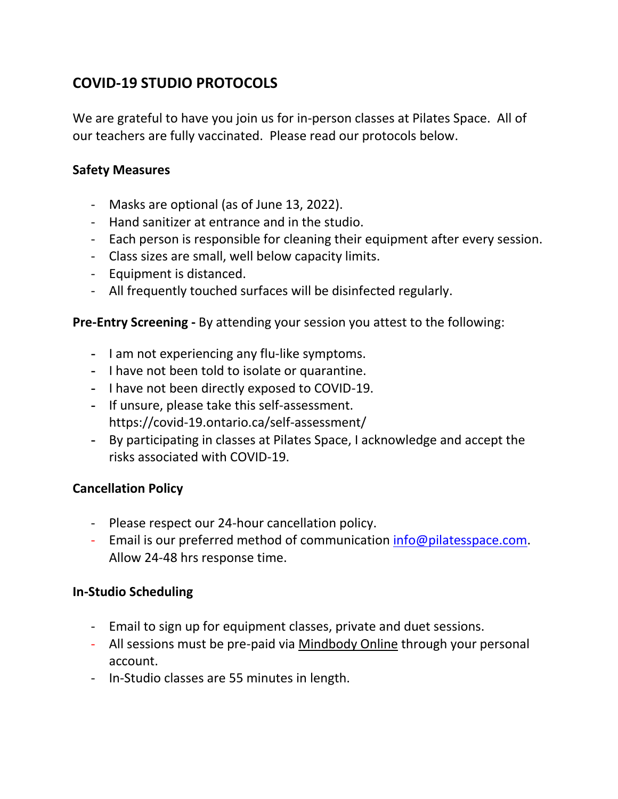# **COVID-19 STUDIO PROTOCOLS**

We are grateful to have you join us for in-person classes at Pilates Space. All of our teachers are fully vaccinated. Please read our protocols below.

## **Safety Measures**

- Masks are optional (as of June 13, 2022).
- Hand sanitizer at entrance and in the studio.
- Each person is responsible for cleaning their equipment after every session.
- Class sizes are small, well below capacity limits.
- Equipment is distanced.
- All frequently touched surfaces will be disinfected regularly.

### **Pre-Entry Screening -** By attending your session you attest to the following:

- **-** I am not experiencing any flu-like symptoms.
- **-** I have not been told to isolate or quarantine.
- **-** I have not been directly exposed to COVID-19.
- **-** If unsure, please take this self-assessment. https://covid-19.ontario.ca/self-assessment/
- **-** By participating in classes at Pilates Space, I acknowledge and accept the risks associated with COVID-19.

### **Cancellation Policy**

- Please respect our 24-hour cancellation policy.
- Email is our preferred method of communication [info@pilatesspace.com.](mailto:info@pilatesspace.com) Allow 24-48 hrs response time.

### **In-Studio Scheduling**

- Email to sign up for equipment classes, private and duet sessions.
- All sessions must be pre-paid via [Mindbody Online](https://clients.mindbodyonline.com/classic/ws?studioid=2741&stype=41) through your personal account.
- In-Studio classes are 55 minutes in length.